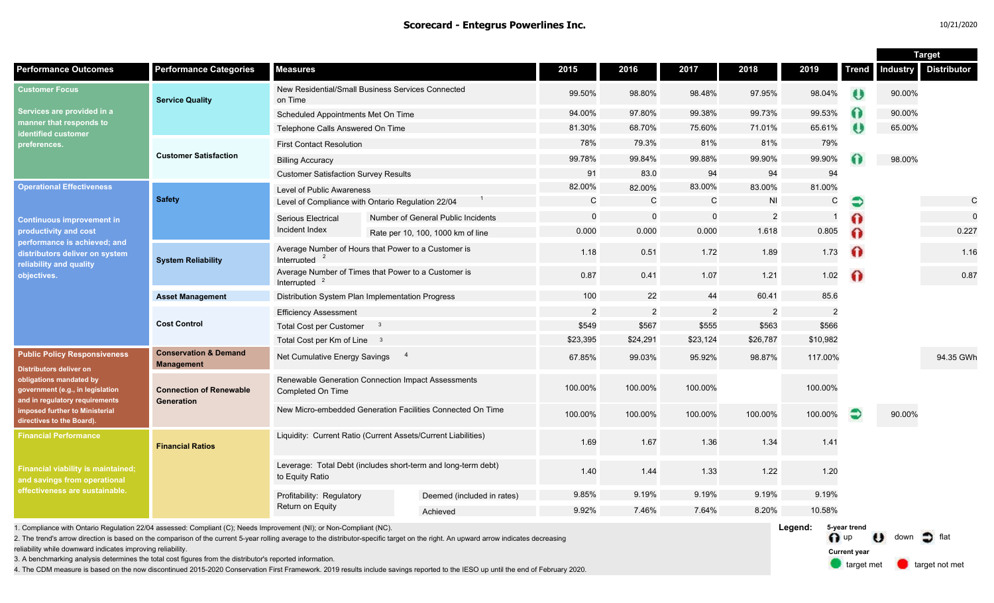n up U down of flat

**Current year**

target met **target not met** 

|                                                                                                                                                                                                                                       |                                                       |                                                                                  |  |                                    |                |                |                |                |                |              | <b>Target</b>   |                    |
|---------------------------------------------------------------------------------------------------------------------------------------------------------------------------------------------------------------------------------------|-------------------------------------------------------|----------------------------------------------------------------------------------|--|------------------------------------|----------------|----------------|----------------|----------------|----------------|--------------|-----------------|--------------------|
| <b>Performance Outcomes</b>                                                                                                                                                                                                           | <b>Performance Categories</b>                         | <b>Measures</b>                                                                  |  |                                    | 2015           | 2016           | 2017           | 2018           | 2019           | <b>Trend</b> | <b>Industry</b> | <b>Distributor</b> |
| <b>Customer Focus</b><br>Services are provided in a<br>manner that responds to<br>dentified customer<br>›references.                                                                                                                  | <b>Service Quality</b>                                | New Residential/Small Business Services Connected<br>on Time                     |  |                                    | 99.50%         | 98.80%         | 98.48%         | 97.95%         | 98.04%         | U            | 90.00%          |                    |
|                                                                                                                                                                                                                                       |                                                       | Scheduled Appointments Met On Time                                               |  |                                    | 94.00%         | 97.80%         | 99.38%         | 99.73%         | 99.53%         | 0            | 90.00%          |                    |
|                                                                                                                                                                                                                                       |                                                       | Telephone Calls Answered On Time                                                 |  |                                    | 81.30%         | 68.70%         | 75.60%         | 71.01%         | 65.61%         |              | 65.00%          |                    |
|                                                                                                                                                                                                                                       |                                                       | <b>First Contact Resolution</b>                                                  |  |                                    | 78%            | 79.3%          | 81%            | 81%            | 79%            |              |                 |                    |
|                                                                                                                                                                                                                                       | <b>Customer Satisfaction</b>                          | <b>Billing Accuracy</b>                                                          |  |                                    | 99.78%         | 99.84%         | 99.88%         | 99.90%         | 99.90%         |              | 98.00%          |                    |
|                                                                                                                                                                                                                                       |                                                       | <b>Customer Satisfaction Survey Results</b>                                      |  |                                    | 91             | 83.0           | 94             | 94             | 94             |              |                 |                    |
| <b>Operational Effectiveness</b>                                                                                                                                                                                                      | <b>Safety</b>                                         | Level of Public Awareness                                                        |  |                                    | 82.00%         | 82.00%         | 83.00%         | 83.00%         | 81.00%         |              |                 |                    |
|                                                                                                                                                                                                                                       |                                                       | Level of Compliance with Ontario Regulation 22/04                                |  |                                    | C              | $\mathsf{C}$   | C              | <b>NI</b>      | $\mathsf{C}$   | €            |                 | $\mathsf{C}$       |
| <b>Continuous improvement in</b><br>productivity and cost<br>performance is achieved; and<br>distributors deliver on system<br>reliability and quality<br>objectives.                                                                 |                                                       | Serious Electrical                                                               |  | Number of General Public Incidents | $\Omega$       | $\mathbf 0$    | $\overline{0}$ | $\overline{2}$ |                | Ω            |                 | $\mathbf 0$        |
|                                                                                                                                                                                                                                       |                                                       | Incident Index                                                                   |  | Rate per 10, 100, 1000 km of line  | 0.000          | 0.000          | 0.000          | 1.618          | 0.805          | ດ            |                 | 0.227              |
|                                                                                                                                                                                                                                       | <b>System Reliability</b>                             | Average Number of Hours that Power to a Customer is<br>Interrupted $2$           |  |                                    | 1.18           | 0.51           | 1.72           | 1.89           | 1.73           | $\bullet$    |                 | 1.16               |
|                                                                                                                                                                                                                                       |                                                       | Average Number of Times that Power to a Customer is<br>Interrupted $2$           |  |                                    | 0.87           | 0.41           | 1.07           | 1.21           | 1.02           | ⋒            |                 | 0.87               |
|                                                                                                                                                                                                                                       | <b>Asset Management</b>                               | Distribution System Plan Implementation Progress                                 |  |                                    | 100            | 22             | 44             | 60.41          | 85.6           |              |                 |                    |
|                                                                                                                                                                                                                                       | <b>Cost Control</b>                                   | <b>Efficiency Assessment</b>                                                     |  |                                    | $\overline{2}$ | $\overline{2}$ | $\overline{2}$ | $\overline{2}$ | $\overline{2}$ |              |                 |                    |
|                                                                                                                                                                                                                                       |                                                       | <b>Total Cost per Customer</b><br>$^{\circ}$                                     |  |                                    | \$549          | \$567          | \$555          | \$563          | \$566          |              |                 |                    |
|                                                                                                                                                                                                                                       |                                                       | Total Cost per Km of Line 3                                                      |  |                                    | \$23,395       | \$24,291       | \$23,124       | \$26,787       | \$10,982       |              |                 |                    |
| <b>Public Policy Responsiveness</b><br><b>Distributors deliver on</b><br>obligations mandated by<br>government (e.g., in legislation<br>and in regulatory requirements<br>imposed further to Ministerial<br>directives to the Board). | <b>Conservation &amp; Demand</b><br><b>Management</b> | $\overline{4}$<br>Net Cumulative Energy Savings                                  |  |                                    | 67.85%         | 99.03%         | 95.92%         | 98.87%         | 117.00%        |              |                 | 94.35 GWh          |
|                                                                                                                                                                                                                                       | <b>Connection of Renewable</b><br>Generation          | Renewable Generation Connection Impact Assessments<br>Completed On Time          |  |                                    | 100.00%        | 100.00%        | 100.00%        |                | 100.00%        |              |                 |                    |
|                                                                                                                                                                                                                                       |                                                       | New Micro-embedded Generation Facilities Connected On Time                       |  |                                    | 100.00%        | 100.00%        | 100.00%        | 100.00%        | 100.00%        | Ð            | 90.00%          |                    |
| <b>Financial Performance</b><br><b>Financial viability is maintained;</b><br>and savings from operational<br>effectiveness are sustainable.                                                                                           | <b>Financial Ratios</b>                               | Liquidity: Current Ratio (Current Assets/Current Liabilities)                    |  |                                    | 1.69           | 1.67           | 1.36           | 1.34           | 1.41           |              |                 |                    |
|                                                                                                                                                                                                                                       |                                                       | Leverage: Total Debt (includes short-term and long-term debt)<br>to Equity Ratio |  |                                    | 1.40           | 1.44           | 1.33           | 1.22           | 1.20           |              |                 |                    |
|                                                                                                                                                                                                                                       |                                                       | Profitability: Regulatory<br>Return on Equity                                    |  | Deemed (included in rates)         | 9.85%          | 9.19%          | 9.19%          | 9.19%          | 9.19%          |              |                 |                    |
|                                                                                                                                                                                                                                       |                                                       |                                                                                  |  | Achieved                           | 9.92%          | 7.46%          | 7.64%          | 8.20%          | 10.58%         |              |                 |                    |
| Leaend:<br>1. Compliance with Ontario Regulation 22/04 assessed: Compliant (C); Needs Improvement (NI); or Non-Compliant (NC).                                                                                                        |                                                       |                                                                                  |  |                                    |                |                |                |                |                | 5-vear trend |                 |                    |

1. Compliance with Ontario Regulation 22/04 assessed: Compliant (C); Needs Improvement (NI); or Non-Compliant (NC).

2. The trend's arrow direction is based on the comparison of the current 5-year rolling average to the distributor-specific target on the right. An upward arrow indicates decreasing

reliability while downward indicates improving reliability.

3. A benchmarking analysis determines the total cost figures from the distributor's reported information.

4. The CDM measure is based on the now discontinued 2015-2020 Conservation First Framework. 2019 results include savings reported to the IESO up until the end of February 2020.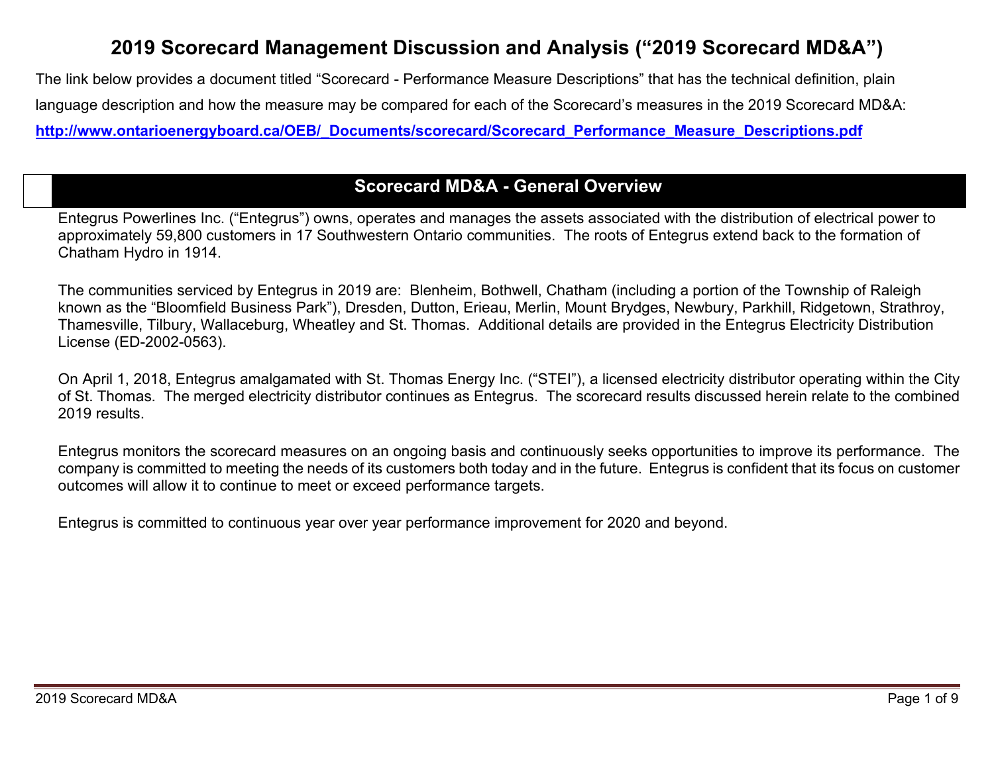# **2019 Scorecard Management Discussion and Analysis ("2019 Scorecard MD&A")**

The link below provides a document titled "Scorecard - Performance Measure Descriptions" that has the technical definition, plain language description and how the measure may be compared for each of the Scorecard's measures in the 2019 Scorecard MD&A: **[http://www.ontarioenergyboard.ca/OEB/\\_Documents/scorecard/Scorecard\\_Performance\\_Measure\\_Descriptions.pdf](http://www.ontarioenergyboard.ca/OEB/_Documents/scorecard/Scorecard_Performance_Measure_Descriptions.pdf)**

## **Scorecard MD&A - General Overview**

Entegrus Powerlines Inc. ("Entegrus") owns, operates and manages the assets associated with the distribution of electrical power to approximately 59,800 customers in 17 Southwestern Ontario communities. The roots of Entegrus extend back to the formation of Chatham Hydro in 1914.

The communities serviced by Entegrus in 2019 are: Blenheim, Bothwell, Chatham (including a portion of the Township of Raleigh known as the "Bloomfield Business Park"), Dresden, Dutton, Erieau, Merlin, Mount Brydges, Newbury, Parkhill, Ridgetown, Strathroy, Thamesville, Tilbury, Wallaceburg, Wheatley and St. Thomas. Additional details are provided in the Entegrus Electricity Distribution License (ED-2002-0563).

On April 1, 2018, Entegrus amalgamated with St. Thomas Energy Inc. ("STEI"), a licensed electricity distributor operating within the City of St. Thomas. The merged electricity distributor continues as Entegrus. The scorecard results discussed herein relate to the combined 2019 results.

Entegrus monitors the scorecard measures on an ongoing basis and continuously seeks opportunities to improve its performance. The company is committed to meeting the needs of its customers both today and in the future. Entegrus is confident that its focus on customer outcomes will allow it to continue to meet or exceed performance targets.

Entegrus is committed to continuous year over year performance improvement for 2020 and beyond.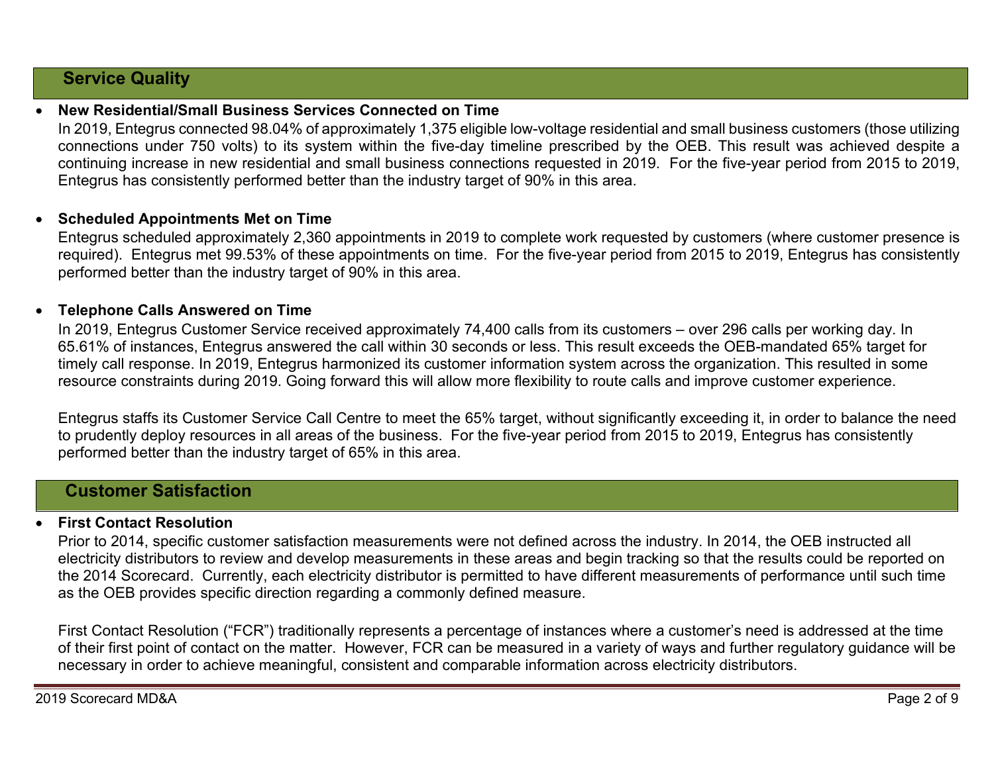## **Service Quality**

## • **New Residential/Small Business Services Connected on Time**

In 2019, Entegrus connected 98.04% of approximately 1,375 eligible low-voltage residential and small business customers (those utilizing connections under 750 volts) to its system within the five-day timeline prescribed by the OEB. This result was achieved despite a continuing increase in new residential and small business connections requested in 2019. For the five-year period from 2015 to 2019, Entegrus has consistently performed better than the industry target of 90% in this area.

### • **Scheduled Appointments Met on Time**

Entegrus scheduled approximately 2,360 appointments in 2019 to complete work requested by customers (where customer presence is required). Entegrus met 99.53% of these appointments on time. For the five-year period from 2015 to 2019, Entegrus has consistently performed better than the industry target of 90% in this area.

### • **Telephone Calls Answered on Time**

In 2019, Entegrus Customer Service received approximately 74,400 calls from its customers – over 296 calls per working day. In 65.61% of instances, Entegrus answered the call within 30 seconds or less. This result exceeds the OEB-mandated 65% target for timely call response. In 2019, Entegrus harmonized its customer information system across the organization. This resulted in some resource constraints during 2019. Going forward this will allow more flexibility to route calls and improve customer experience.

Entegrus staffs its Customer Service Call Centre to meet the 65% target, without significantly exceeding it, in order to balance the need to prudently deploy resources in all areas of the business. For the five-year period from 2015 to 2019, Entegrus has consistently performed better than the industry target of 65% in this area.

## **Customer Satisfaction**

## • **First Contact Resolution**

Prior to 2014, specific customer satisfaction measurements were not defined across the industry. In 2014, the OEB instructed all electricity distributors to review and develop measurements in these areas and begin tracking so that the results could be reported on the 2014 Scorecard. Currently, each electricity distributor is permitted to have different measurements of performance until such time as the OEB provides specific direction regarding a commonly defined measure.

First Contact Resolution ("FCR") traditionally represents a percentage of instances where a customer's need is addressed at the time of their first point of contact on the matter. However, FCR can be measured in a variety of ways and further regulatory guidance will be necessary in order to achieve meaningful, consistent and comparable information across electricity distributors.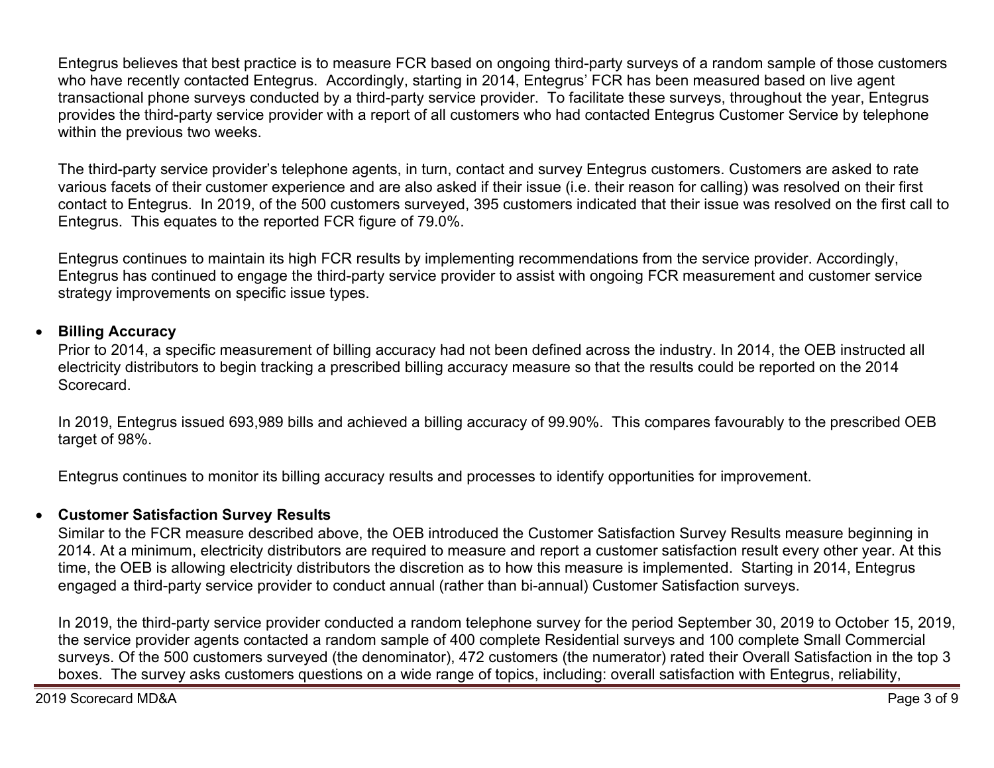Entegrus believes that best practice is to measure FCR based on ongoing third-party surveys of a random sample of those customers who have recently contacted Entegrus. Accordingly, starting in 2014, Entegrus' FCR has been measured based on live agent transactional phone surveys conducted by a third-party service provider. To facilitate these surveys, throughout the year, Entegrus provides the third-party service provider with a report of all customers who had contacted Entegrus Customer Service by telephone within the previous two weeks.

The third-party service provider's telephone agents, in turn, contact and survey Entegrus customers. Customers are asked to rate various facets of their customer experience and are also asked if their issue (i.e. their reason for calling) was resolved on their first contact to Entegrus. In 2019, of the 500 customers surveyed, 395 customers indicated that their issue was resolved on the first call to Entegrus. This equates to the reported FCR figure of 79.0%.

Entegrus continues to maintain its high FCR results by implementing recommendations from the service provider. Accordingly, Entegrus has continued to engage the third-party service provider to assist with ongoing FCR measurement and customer service strategy improvements on specific issue types.

### • **Billing Accuracy**

Prior to 2014, a specific measurement of billing accuracy had not been defined across the industry. In 2014, the OEB instructed all electricity distributors to begin tracking a prescribed billing accuracy measure so that the results could be reported on the 2014 Scorecard.

In 2019, Entegrus issued 693,989 bills and achieved a billing accuracy of 99.90%. This compares favourably to the prescribed OEB target of 98%.

Entegrus continues to monitor its billing accuracy results and processes to identify opportunities for improvement.

## • **Customer Satisfaction Survey Results**

Similar to the FCR measure described above, the OEB introduced the Customer Satisfaction Survey Results measure beginning in 2014. At a minimum, electricity distributors are required to measure and report a customer satisfaction result every other year. At this time, the OEB is allowing electricity distributors the discretion as to how this measure is implemented. Starting in 2014, Entegrus engaged a third-party service provider to conduct annual (rather than bi-annual) Customer Satisfaction surveys.

In 2019, the third-party service provider conducted a random telephone survey for the period September 30, 2019 to October 15, 2019, the service provider agents contacted a random sample of 400 complete Residential surveys and 100 complete Small Commercial surveys. Of the 500 customers surveyed (the denominator), 472 customers (the numerator) rated their Overall Satisfaction in the top 3 boxes. The survey asks customers questions on a wide range of topics, including: overall satisfaction with Entegrus, reliability,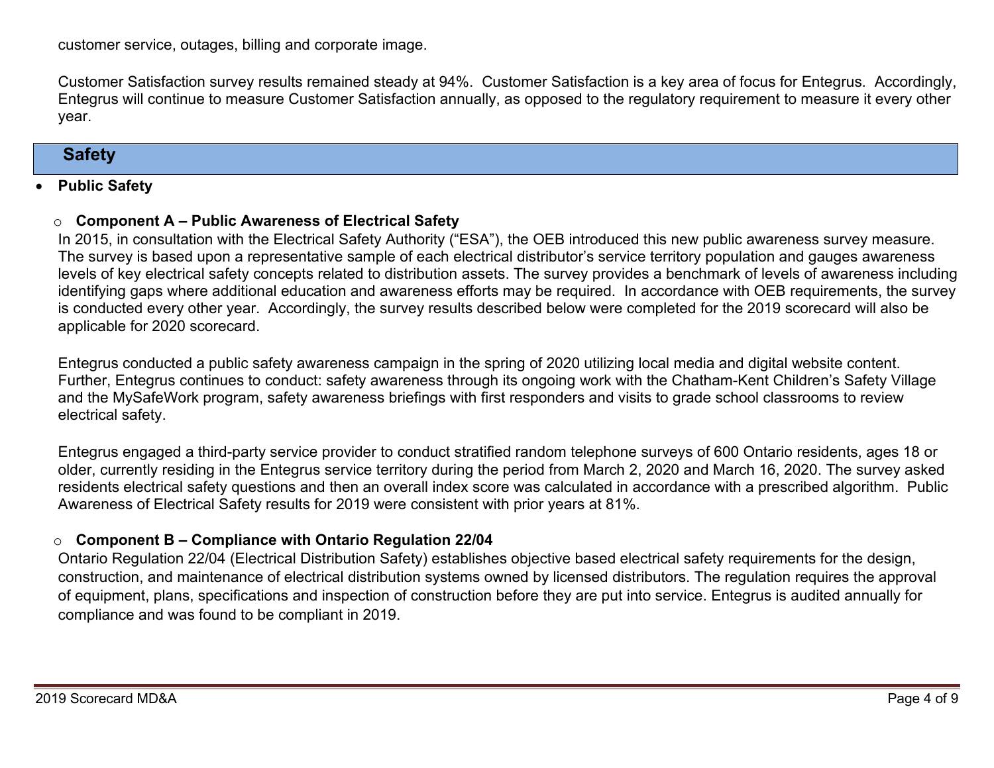customer service, outages, billing and corporate image.

Customer Satisfaction survey results remained steady at 94%. Customer Satisfaction is a key area of focus for Entegrus. Accordingly, Entegrus will continue to measure Customer Satisfaction annually, as opposed to the regulatory requirement to measure it every other year.

## **Safety**

#### • **Public Safety**

### o **Component A – Public Awareness of Electrical Safety**

In 2015, in consultation with the Electrical Safety Authority ("ESA"), the OEB introduced this new public awareness survey measure. The survey is based upon a representative sample of each electrical distributor's service territory population and gauges awareness levels of key electrical safety concepts related to distribution assets. The survey provides a benchmark of levels of awareness including identifying gaps where additional education and awareness efforts may be required. In accordance with OEB requirements, the survey is conducted every other year. Accordingly, the survey results described below were completed for the 2019 scorecard will also be applicable for 2020 scorecard.

Entegrus conducted a public safety awareness campaign in the spring of 2020 utilizing local media and digital website content. Further, Entegrus continues to conduct: safety awareness through its ongoing work with the Chatham-Kent Children's Safety Village and the MySafeWork program, safety awareness briefings with first responders and visits to grade school classrooms to review electrical safety.

Entegrus engaged a third-party service provider to conduct stratified random telephone surveys of 600 Ontario residents, ages 18 or older, currently residing in the Entegrus service territory during the period from March 2, 2020 and March 16, 2020. The survey asked residents electrical safety questions and then an overall index score was calculated in accordance with a prescribed algorithm. Public Awareness of Electrical Safety results for 2019 were consistent with prior years at 81%.

## o **Component B – Compliance with Ontario Regulation 22/04**

Ontario Regulation 22/04 (Electrical Distribution Safety) establishes objective based electrical safety requirements for the design, construction, and maintenance of electrical distribution systems owned by licensed distributors. The regulation requires the approval of equipment, plans, specifications and inspection of construction before they are put into service. Entegrus is audited annually for compliance and was found to be compliant in 2019.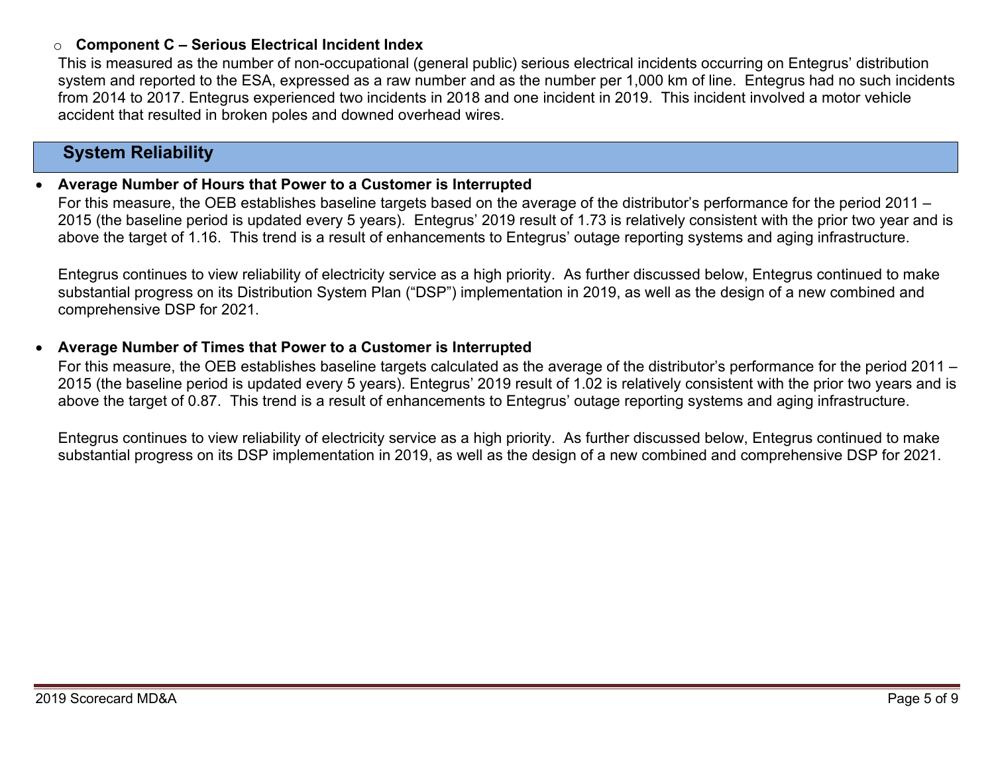## o **Component C – Serious Electrical Incident Index**

This is measured as the number of non-occupational (general public) serious electrical incidents occurring on Entegrus' distribution system and reported to the ESA, expressed as a raw number and as the number per 1,000 km of line. Entegrus had no such incidents from 2014 to 2017. Entegrus experienced two incidents in 2018 and one incident in 2019. This incident involved a motor vehicle accident that resulted in broken poles and downed overhead wires.

## **System Reliability**

#### • **Average Number of Hours that Power to a Customer is Interrupted**

For this measure, the OEB establishes baseline targets based on the average of the distributor's performance for the period 2011 – 2015 (the baseline period is updated every 5 years). Entegrus' 2019 result of 1.73 is relatively consistent with the prior two year and is above the target of 1.16. This trend is a result of enhancements to Entegrus' outage reporting systems and aging infrastructure.

Entegrus continues to view reliability of electricity service as a high priority. As further discussed below, Entegrus continued to make substantial progress on its Distribution System Plan ("DSP") implementation in 2019, as well as the design of a new combined and comprehensive DSP for 2021.

#### • **Average Number of Times that Power to a Customer is Interrupted**

For this measure, the OEB establishes baseline targets calculated as the average of the distributor's performance for the period 2011 – 2015 (the baseline period is updated every 5 years). Entegrus' 2019 result of 1.02 is relatively consistent with the prior two years and is above the target of 0.87. This trend is a result of enhancements to Entegrus' outage reporting systems and aging infrastructure.

Entegrus continues to view reliability of electricity service as a high priority. As further discussed below, Entegrus continued to make substantial progress on its DSP implementation in 2019, as well as the design of a new combined and comprehensive DSP for 2021.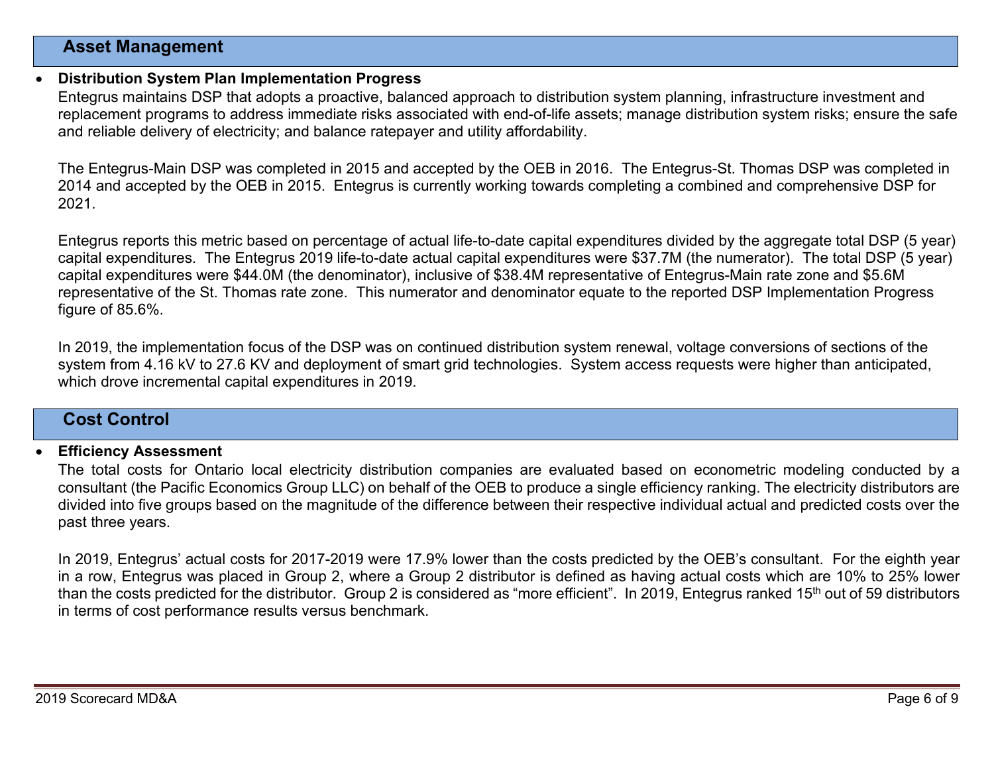### **Asset Management**

#### • **Distribution System Plan Implementation Progress**

Entegrus maintains DSP that adopts a proactive, balanced approach to distribution system planning, infrastructure investment and replacement programs to address immediate risks associated with end-of-life assets; manage distribution system risks; ensure the safe and reliable delivery of electricity; and balance ratepayer and utility affordability.

The Entegrus-Main DSP was completed in 2015 and accepted by the OEB in 2016. The Entegrus-St. Thomas DSP was completed in 2014 and accepted by the OEB in 2015. Entegrus is currently working towards completing a combined and comprehensive DSP for 2021.

Entegrus reports this metric based on percentage of actual life-to-date capital expenditures divided by the aggregate total DSP (5 year) capital expenditures. The Entegrus 2019 life-to-date actual capital expenditures were \$37.7M (the numerator). The total DSP (5 year) capital expenditures were \$44.0M (the denominator), inclusive of \$38.4M representative of Entegrus-Main rate zone and \$5.6M representative of the St. Thomas rate zone. This numerator and denominator equate to the reported DSP Implementation Progress figure of 85.6%.

In 2019, the implementation focus of the DSP was on continued distribution system renewal, voltage conversions of sections of the system from 4.16 kV to 27.6 KV and deployment of smart grid technologies. System access requests were higher than anticipated, which drove incremental capital expenditures in 2019.

## **Cost Control**

#### • **Efficiency Assessment**

The total costs for Ontario local electricity distribution companies are evaluated based on econometric modeling conducted by a consultant (the Pacific Economics Group LLC) on behalf of the OEB to produce a single efficiency ranking. The electricity distributors are divided into five groups based on the magnitude of the difference between their respective individual actual and predicted costs over the past three years.

In 2019, Entegrus' actual costs for 2017-2019 were 17.9% lower than the costs predicted by the OEB's consultant. For the eighth year in a row, Entegrus was placed in Group 2, where a Group 2 distributor is defined as having actual costs which are 10% to 25% lower than the costs predicted for the distributor. Group 2 is considered as "more efficient". In 2019, Entegrus ranked 15<sup>th</sup> out of 59 distributors in terms of cost performance results versus benchmark.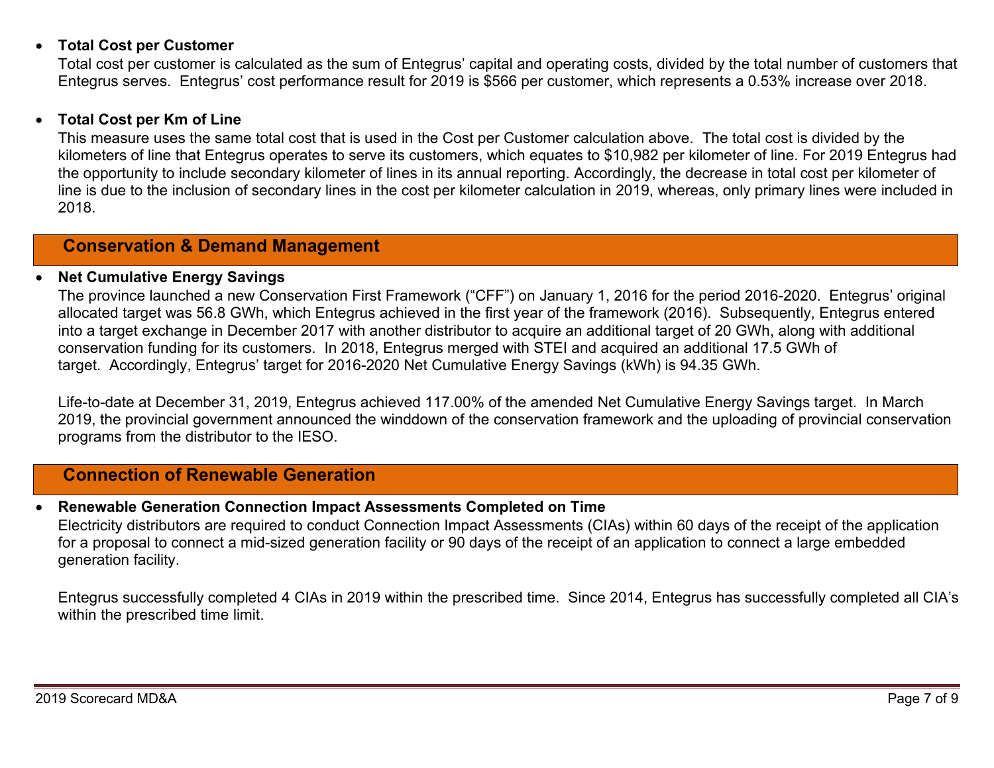### • **Total Cost per Customer**

Total cost per customer is calculated as the sum of Entegrus' capital and operating costs, divided by the total number of customers that Entegrus serves. Entegrus' cost performance result for 2019 is \$566 per customer, which represents a 0.53% increase over 2018.

#### • **Total Cost per Km of Line**

This measure uses the same total cost that is used in the Cost per Customer calculation above. The total cost is divided by the kilometers of line that Entegrus operates to serve its customers, which equates to \$10,982 per kilometer of line. For 2019 Entegrus had the opportunity to include secondary kilometer of lines in its annual reporting. Accordingly, the decrease in total cost per kilometer of line is due to the inclusion of secondary lines in the cost per kilometer calculation in 2019, whereas, only primary lines were included in 2018.

## **Conservation & Demand Management**

#### • **Net Cumulative Energy Savings**

The province launched a new Conservation First Framework ("CFF") on January 1, 2016 for the period 2016-2020. Entegrus' original allocated target was 56.8 GWh, which Entegrus achieved in the first year of the framework (2016). Subsequently, Entegrus entered into a target exchange in December 2017 with another distributor to acquire an additional target of 20 GWh, along with additional conservation funding for its customers. In 2018, Entegrus merged with STEI and acquired an additional 17.5 GWh of target. Accordingly, Entegrus' target for 2016-2020 Net Cumulative Energy Savings (kWh) is 94.35 GWh.

Life-to-date at December 31, 2019, Entegrus achieved 117.00% of the amended Net Cumulative Energy Savings target. In March 2019, the provincial government announced the winddown of the conservation framework and the uploading of provincial conservation programs from the distributor to the IESO.

## **Connection of Renewable Generation**

## • **Renewable Generation Connection Impact Assessments Completed on Time**

Electricity distributors are required to conduct Connection Impact Assessments (CIAs) within 60 days of the receipt of the application for a proposal to connect a mid-sized generation facility or 90 days of the receipt of an application to connect a large embedded generation facility.

Entegrus successfully completed 4 CIAs in 2019 within the prescribed time. Since 2014, Entegrus has successfully completed all CIA's within the prescribed time limit.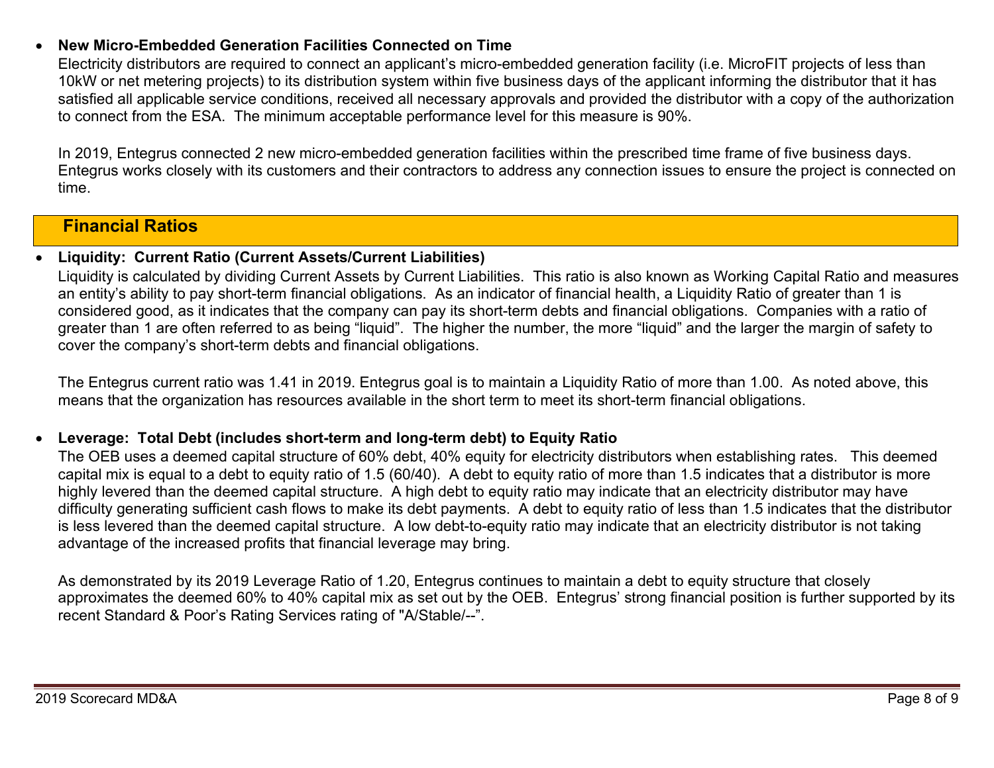## • **New Micro-Embedded Generation Facilities Connected on Time**

Electricity distributors are required to connect an applicant's micro-embedded generation facility (i.e. MicroFIT projects of less than 10kW or net metering projects) to its distribution system within five business days of the applicant informing the distributor that it has satisfied all applicable service conditions, received all necessary approvals and provided the distributor with a copy of the authorization to connect from the ESA. The minimum acceptable performance level for this measure is 90%.

In 2019, Entegrus connected 2 new micro-embedded generation facilities within the prescribed time frame of five business days. Entegrus works closely with its customers and their contractors to address any connection issues to ensure the project is connected on time.

## **Financial Ratios**

### • **Liquidity: Current Ratio (Current Assets/Current Liabilities)**

Liquidity is calculated by dividing Current Assets by Current Liabilities. This ratio is also known as Working Capital Ratio and measures an entity's ability to pay short-term financial obligations. As an indicator of financial health, a Liquidity Ratio of greater than 1 is considered good, as it indicates that the company can pay its short-term debts and financial obligations. Companies with a ratio of greater than 1 are often referred to as being "liquid". The higher the number, the more "liquid" and the larger the margin of safety to cover the company's short-term debts and financial obligations.

The Entegrus current ratio was 1.41 in 2019. Entegrus goal is to maintain a Liquidity Ratio of more than 1.00. As noted above, this means that the organization has resources available in the short term to meet its short-term financial obligations.

## • **Leverage: Total Debt (includes short-term and long-term debt) to Equity Ratio**

The OEB uses a deemed capital structure of 60% debt, 40% equity for electricity distributors when establishing rates. This deemed capital mix is equal to a debt to equity ratio of 1.5 (60/40). A debt to equity ratio of more than 1.5 indicates that a distributor is more highly levered than the deemed capital structure. A high debt to equity ratio may indicate that an electricity distributor may have difficulty generating sufficient cash flows to make its debt payments. A debt to equity ratio of less than 1.5 indicates that the distributor is less levered than the deemed capital structure. A low debt-to-equity ratio may indicate that an electricity distributor is not taking advantage of the increased profits that financial leverage may bring.

As demonstrated by its 2019 Leverage Ratio of 1.20, Entegrus continues to maintain a debt to equity structure that closely approximates the deemed 60% to 40% capital mix as set out by the OEB. Entegrus' strong financial position is further supported by its recent Standard & Poor's Rating Services rating of "A/Stable/--".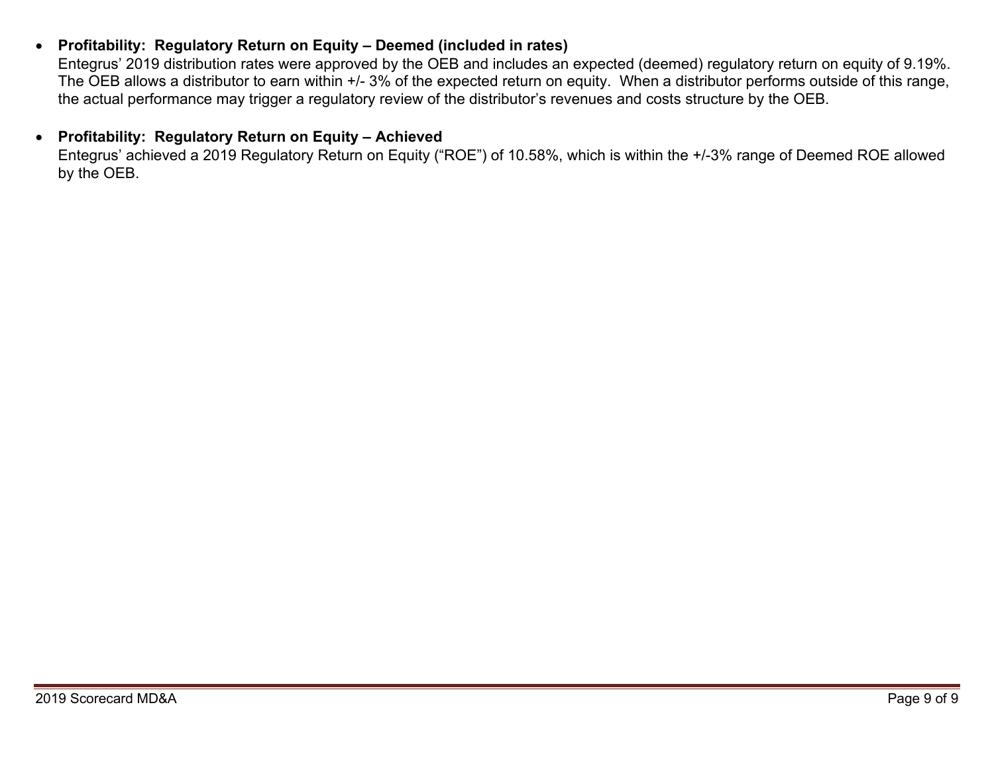## • **Profitability: Regulatory Return on Equity – Deemed (included in rates)**

Entegrus' 2019 distribution rates were approved by the OEB and includes an expected (deemed) regulatory return on equity of 9.19%. The OEB allows a distributor to earn within +/- 3% of the expected return on equity. When a distributor performs outside of this range, the actual performance may trigger a regulatory review of the distributor's revenues and costs structure by the OEB.

## • **Profitability: Regulatory Return on Equity – Achieved**

Entegrus' achieved a 2019 Regulatory Return on Equity ("ROE") of 10.58%, which is within the +/-3% range of Deemed ROE allowed by the OEB.